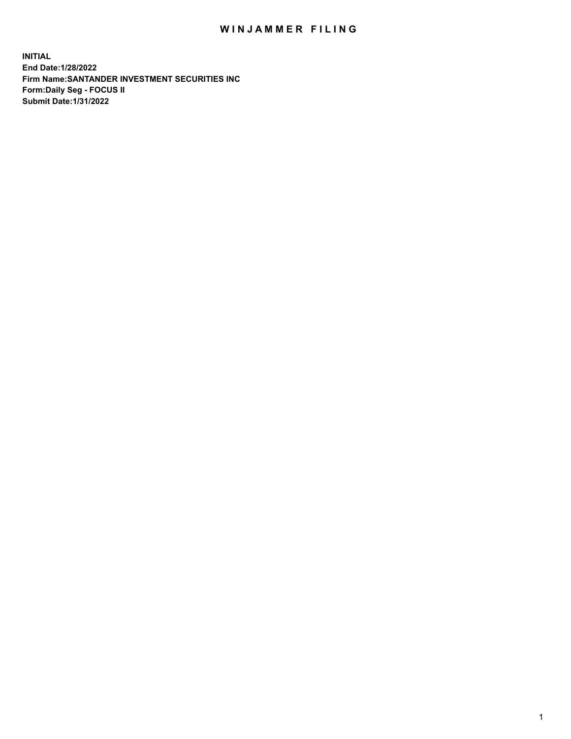## WIN JAMMER FILING

**INITIAL End Date:1/28/2022 Firm Name:SANTANDER INVESTMENT SECURITIES INC Form:Daily Seg - FOCUS II Submit Date:1/31/2022**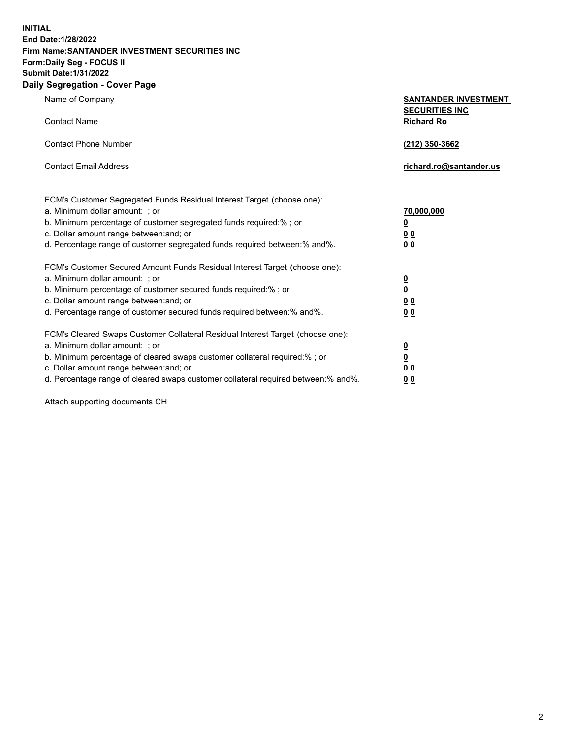**INITIAL End Date:1/28/2022 Firm Name:SANTANDER INVESTMENT SECURITIES INC Form:Daily Seg - FOCUS II Submit Date:1/31/2022 Daily Segregation - Cover Page**

Name of Company **SANTANDER INVESTMENT SECURITIES INC** Contact Name **Richard Ro** Contact Phone Number **(212) 350-3662** Contact Email Address **richard.ro@santander.us** FCM's Customer Segregated Funds Residual Interest Target (choose one): a. Minimum dollar amount: ; or **70,000,000** b. Minimum percentage of customer segregated funds required:% ; or **0** c. Dollar amount range between:and; or **0 0** d. Percentage range of customer segregated funds required between:% and%. **0 0** FCM's Customer Secured Amount Funds Residual Interest Target (choose one): a. Minimum dollar amount: ; or **0** b. Minimum percentage of customer secured funds required:% ; or **0** c. Dollar amount range between:and; or **0 0** d. Percentage range of customer secured funds required between:% and%. **0 0** FCM's Cleared Swaps Customer Collateral Residual Interest Target (choose one): a. Minimum dollar amount: ; or **0** b. Minimum percentage of cleared swaps customer collateral required:% ; or **0**

c. Dollar amount range between:and; or **0 0** d. Percentage range of cleared swaps customer collateral required between:% and%. **0 0**

Attach supporting documents CH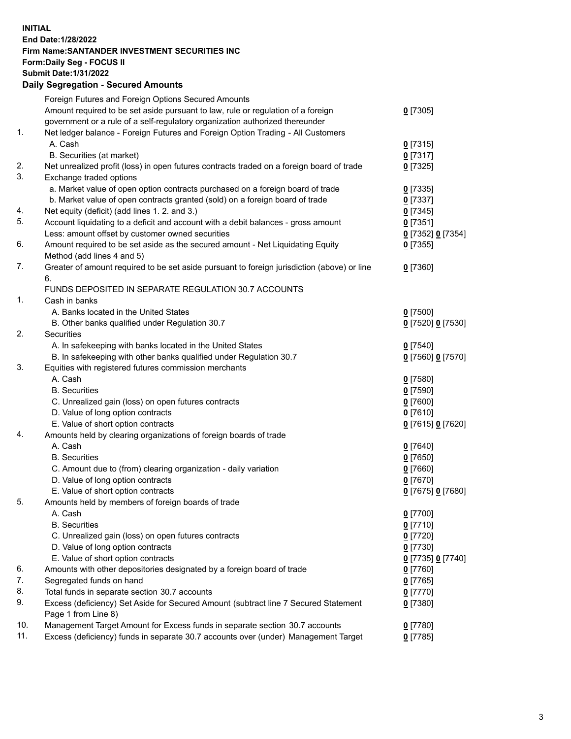## **INITIAL End Date:1/28/2022 Firm Name:SANTANDER INVESTMENT SECURITIES INC Form:Daily Seg - FOCUS II Submit Date:1/31/2022 Daily Segregation - Secured Amounts**

|          | Foreign Futures and Foreign Options Secured Amounts                                         |                   |
|----------|---------------------------------------------------------------------------------------------|-------------------|
|          | Amount required to be set aside pursuant to law, rule or regulation of a foreign            | $0$ [7305]        |
|          | government or a rule of a self-regulatory organization authorized thereunder                |                   |
| 1.       | Net ledger balance - Foreign Futures and Foreign Option Trading - All Customers             |                   |
|          | A. Cash                                                                                     | $0$ [7315]        |
|          | B. Securities (at market)                                                                   | $0$ [7317]        |
| 2.       | Net unrealized profit (loss) in open futures contracts traded on a foreign board of trade   | $0$ [7325]        |
| 3.       | Exchange traded options                                                                     |                   |
|          | a. Market value of open option contracts purchased on a foreign board of trade              | $0$ [7335]        |
|          | b. Market value of open contracts granted (sold) on a foreign board of trade                | $0$ [7337]        |
| 4.       | Net equity (deficit) (add lines 1. 2. and 3.)                                               | $0$ [7345]        |
| 5.       | Account liquidating to a deficit and account with a debit balances - gross amount           | $0$ [7351]        |
|          | Less: amount offset by customer owned securities                                            | 0 [7352] 0 [7354] |
| 6.       | Amount required to be set aside as the secured amount - Net Liquidating Equity              | $0$ [7355]        |
|          | Method (add lines 4 and 5)                                                                  |                   |
| 7.       | Greater of amount required to be set aside pursuant to foreign jurisdiction (above) or line | $0$ [7360]        |
|          | 6.                                                                                          |                   |
|          | FUNDS DEPOSITED IN SEPARATE REGULATION 30.7 ACCOUNTS                                        |                   |
| 1.       | Cash in banks                                                                               |                   |
|          | A. Banks located in the United States                                                       | $0$ [7500]        |
|          | B. Other banks qualified under Regulation 30.7                                              | 0 [7520] 0 [7530] |
| 2.       | Securities                                                                                  |                   |
|          | A. In safekeeping with banks located in the United States                                   | $0$ [7540]        |
|          | B. In safekeeping with other banks qualified under Regulation 30.7                          | 0 [7560] 0 [7570] |
| 3.       | Equities with registered futures commission merchants                                       |                   |
|          | A. Cash                                                                                     | $0$ [7580]        |
|          | <b>B.</b> Securities                                                                        | $0$ [7590]        |
|          | C. Unrealized gain (loss) on open futures contracts                                         | $0$ [7600]        |
|          | D. Value of long option contracts                                                           | $0$ [7610]        |
|          | E. Value of short option contracts                                                          | 0 [7615] 0 [7620] |
| 4.       | Amounts held by clearing organizations of foreign boards of trade                           |                   |
|          | A. Cash                                                                                     | $0$ [7640]        |
|          | <b>B.</b> Securities                                                                        | $0$ [7650]        |
|          | C. Amount due to (from) clearing organization - daily variation                             | $0$ [7660]        |
|          | D. Value of long option contracts                                                           | $0$ [7670]        |
|          | E. Value of short option contracts                                                          | 0 [7675] 0 [7680] |
| 5.       | Amounts held by members of foreign boards of trade                                          |                   |
|          | A. Cash                                                                                     | $0$ [7700]        |
|          | <b>B.</b> Securities                                                                        | $0$ [7710]        |
|          | C. Unrealized gain (loss) on open futures contracts                                         | $0$ [7720]        |
|          |                                                                                             |                   |
|          | D. Value of long option contracts                                                           | $0$ [7730]        |
|          | E. Value of short option contracts                                                          | 0 [7735] 0 [7740] |
| 6.<br>7. | Amounts with other depositories designated by a foreign board of trade                      | $0$ [7760]        |
|          | Segregated funds on hand                                                                    | $0$ [7765]        |
| 8.       | Total funds in separate section 30.7 accounts                                               | $0$ [7770]        |
| 9.       | Excess (deficiency) Set Aside for Secured Amount (subtract line 7 Secured Statement         | $0$ [7380]        |
|          | Page 1 from Line 8)                                                                         |                   |
| 10.      | Management Target Amount for Excess funds in separate section 30.7 accounts                 | $0$ [7780]        |
| 11.      | Excess (deficiency) funds in separate 30.7 accounts over (under) Management Target          | $0$ [7785]        |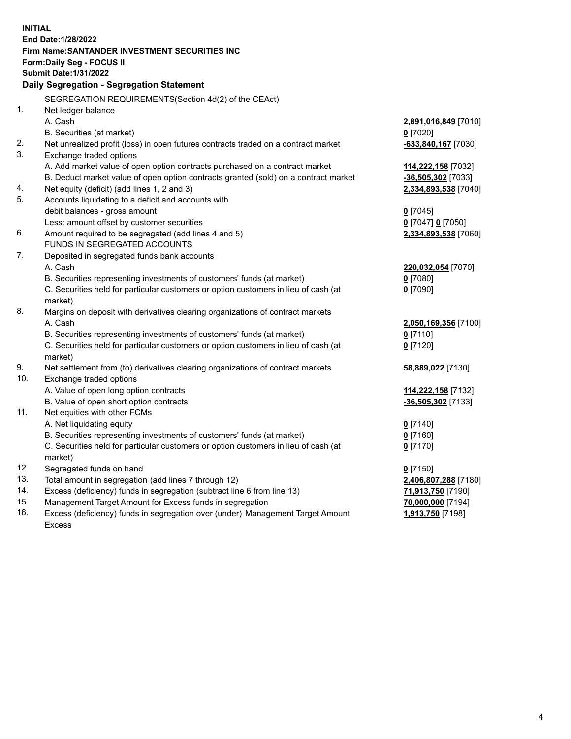| <b>INITIAL</b> |                                                                                     |                       |  |  |  |
|----------------|-------------------------------------------------------------------------------------|-----------------------|--|--|--|
|                | End Date: 1/28/2022                                                                 |                       |  |  |  |
|                | Firm Name: SANTANDER INVESTMENT SECURITIES INC                                      |                       |  |  |  |
|                | <b>Form:Daily Seg - FOCUS II</b>                                                    |                       |  |  |  |
|                | <b>Submit Date: 1/31/2022</b>                                                       |                       |  |  |  |
|                | Daily Segregation - Segregation Statement                                           |                       |  |  |  |
|                | SEGREGATION REQUIREMENTS(Section 4d(2) of the CEAct)                                |                       |  |  |  |
| 1.             | Net ledger balance                                                                  |                       |  |  |  |
|                | A. Cash                                                                             | 2,891,016,849 [7010]  |  |  |  |
|                | B. Securities (at market)                                                           | $0$ [7020]            |  |  |  |
| 2.             | Net unrealized profit (loss) in open futures contracts traded on a contract market  | $-633,840,167$ [7030] |  |  |  |
| 3.             | Exchange traded options                                                             |                       |  |  |  |
|                | A. Add market value of open option contracts purchased on a contract market         | 114,222,158 [7032]    |  |  |  |
|                | B. Deduct market value of open option contracts granted (sold) on a contract market | $-36,505,302$ [7033]  |  |  |  |
| 4.             | Net equity (deficit) (add lines 1, 2 and 3)                                         | 2,334,893,538 [7040]  |  |  |  |
| 5.             | Accounts liquidating to a deficit and accounts with                                 |                       |  |  |  |
|                | debit balances - gross amount                                                       | $0$ [7045]            |  |  |  |
|                | Less: amount offset by customer securities                                          | 0 [7047] 0 [7050]     |  |  |  |
| 6.             | Amount required to be segregated (add lines 4 and 5)                                | 2,334,893,538 [7060]  |  |  |  |
|                | FUNDS IN SEGREGATED ACCOUNTS                                                        |                       |  |  |  |
| 7.             | Deposited in segregated funds bank accounts                                         |                       |  |  |  |
|                | A. Cash                                                                             | 220,032,054 [7070]    |  |  |  |
|                | B. Securities representing investments of customers' funds (at market)              | $0$ [7080]            |  |  |  |
|                | C. Securities held for particular customers or option customers in lieu of cash (at | $0$ [7090]            |  |  |  |
|                | market)                                                                             |                       |  |  |  |
| 8.             | Margins on deposit with derivatives clearing organizations of contract markets      |                       |  |  |  |
|                | A. Cash                                                                             | 2,050,169,356 [7100]  |  |  |  |
|                | B. Securities representing investments of customers' funds (at market)              | $0$ [7110]            |  |  |  |
|                | C. Securities held for particular customers or option customers in lieu of cash (at | $0$ [7120]            |  |  |  |
|                | market)                                                                             |                       |  |  |  |
| 9.             | Net settlement from (to) derivatives clearing organizations of contract markets     | 58,889,022 [7130]     |  |  |  |
| 10.            | Exchange traded options                                                             |                       |  |  |  |
|                | A. Value of open long option contracts                                              | 114,222,158 [7132]    |  |  |  |
|                | B. Value of open short option contracts                                             | $-36,505,302$ [7133]  |  |  |  |
| 11.            | Net equities with other FCMs                                                        |                       |  |  |  |
|                | A. Net liquidating equity                                                           | $0$ [7140]            |  |  |  |
|                | B. Securities representing investments of customers' funds (at market)              | $0$ [7160]            |  |  |  |
|                | C. Securities held for particular customers or option customers in lieu of cash (at | $0$ [7170]            |  |  |  |
|                | market)                                                                             |                       |  |  |  |
| 12.            | Segregated funds on hand                                                            | $0$ [7150]            |  |  |  |
| 13.            | Total amount in segregation (add lines 7 through 12)                                | 2,406,807,288 [7180]  |  |  |  |
| 14.            | Excess (deficiency) funds in segregation (subtract line 6 from line 13)             | 71,913,750 [7190]     |  |  |  |
| 15.            | Management Target Amount for Excess funds in segregation                            | 70,000,000 [7194]     |  |  |  |
| 16.            | Excess (deficiency) funds in segregation over (under) Management Target Amount      | 1,913,750 [7198]      |  |  |  |
|                | <b>Excess</b>                                                                       |                       |  |  |  |